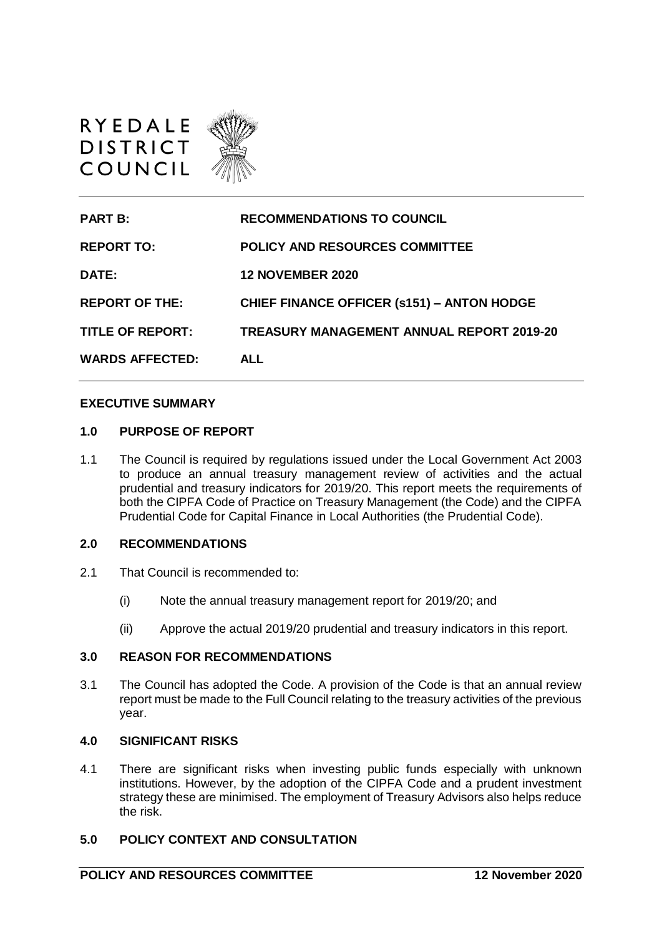

| <b>PART B:</b>          | <b>RECOMMENDATIONS TO COUNCIL</b>                 |
|-------------------------|---------------------------------------------------|
| <b>REPORT TO:</b>       | POLICY AND RESOURCES COMMITTEE                    |
| DATE:                   | <b>12 NOVEMBER 2020</b>                           |
| <b>REPORT OF THE:</b>   | <b>CHIEF FINANCE OFFICER (s151) - ANTON HODGE</b> |
| <b>TITLE OF REPORT:</b> | TREASURY MANAGEMENT ANNUAL REPORT 2019-20         |
| <b>WARDS AFFECTED:</b>  | ALL                                               |

#### **EXECUTIVE SUMMARY**

#### **1.0 PURPOSE OF REPORT**

1.1 The Council is required by regulations issued under the Local Government Act 2003 to produce an annual treasury management review of activities and the actual prudential and treasury indicators for 2019/20. This report meets the requirements of both the CIPFA Code of Practice on Treasury Management (the Code) and the CIPFA Prudential Code for Capital Finance in Local Authorities (the Prudential Code).

#### **2.0 RECOMMENDATIONS**

- 2.1 That Council is recommended to:
	- (i) Note the annual treasury management report for 2019/20; and
	- (ii) Approve the actual 2019/20 prudential and treasury indicators in this report.

## **3.0 REASON FOR RECOMMENDATIONS**

3.1 The Council has adopted the Code. A provision of the Code is that an annual review report must be made to the Full Council relating to the treasury activities of the previous year.

#### **4.0 SIGNIFICANT RISKS**

4.1 There are significant risks when investing public funds especially with unknown institutions. However, by the adoption of the CIPFA Code and a prudent investment strategy these are minimised. The employment of Treasury Advisors also helps reduce the risk.

#### **5.0 POLICY CONTEXT AND CONSULTATION**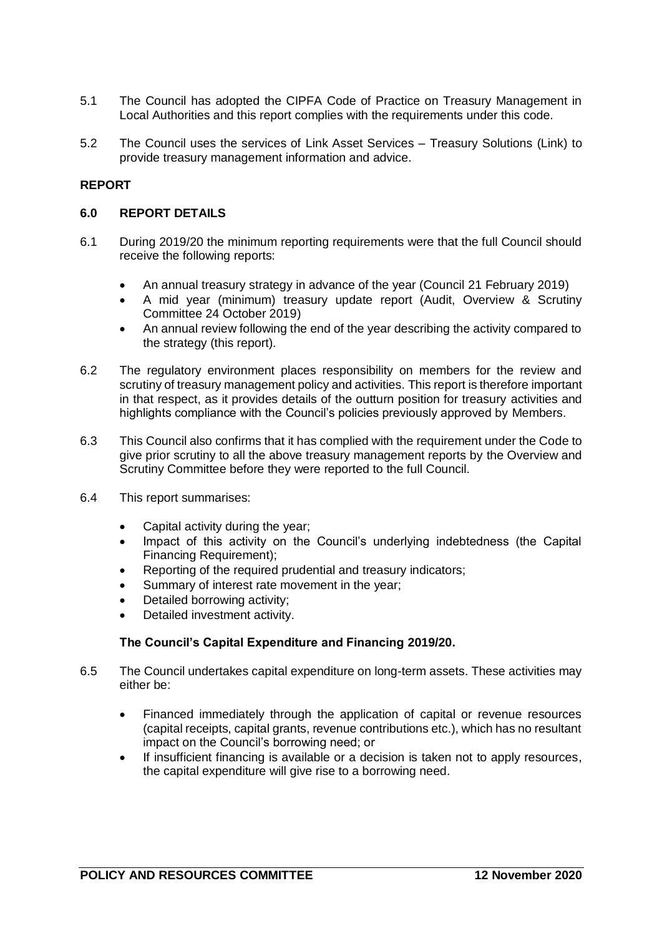- 5.1 The Council has adopted the CIPFA Code of Practice on Treasury Management in Local Authorities and this report complies with the requirements under this code.
- 5.2 The Council uses the services of Link Asset Services Treasury Solutions (Link) to provide treasury management information and advice.

# **REPORT**

#### **6.0 REPORT DETAILS**

- 6.1 During 2019/20 the minimum reporting requirements were that the full Council should receive the following reports:
	- An annual treasury strategy in advance of the year (Council 21 February 2019)
	- A mid year (minimum) treasury update report (Audit, Overview & Scrutiny Committee 24 October 2019)
	- An annual review following the end of the year describing the activity compared to the strategy (this report).
- 6.2 The regulatory environment places responsibility on members for the review and scrutiny of treasury management policy and activities. This report is therefore important in that respect, as it provides details of the outturn position for treasury activities and highlights compliance with the Council's policies previously approved by Members.
- 6.3 This Council also confirms that it has complied with the requirement under the Code to give prior scrutiny to all the above treasury management reports by the Overview and Scrutiny Committee before they were reported to the full Council.
- 6.4 This report summarises:
	- Capital activity during the year;
	- Impact of this activity on the Council's underlying indebtedness (the Capital Financing Requirement);
	- Reporting of the required prudential and treasury indicators;
	- Summary of interest rate movement in the year;
	- Detailed borrowing activity;
	- Detailed investment activity.

## **The Council's Capital Expenditure and Financing 2019/20.**

- 6.5 The Council undertakes capital expenditure on long-term assets. These activities may either be:
	- Financed immediately through the application of capital or revenue resources (capital receipts, capital grants, revenue contributions etc.), which has no resultant impact on the Council's borrowing need; or
	- If insufficient financing is available or a decision is taken not to apply resources, the capital expenditure will give rise to a borrowing need.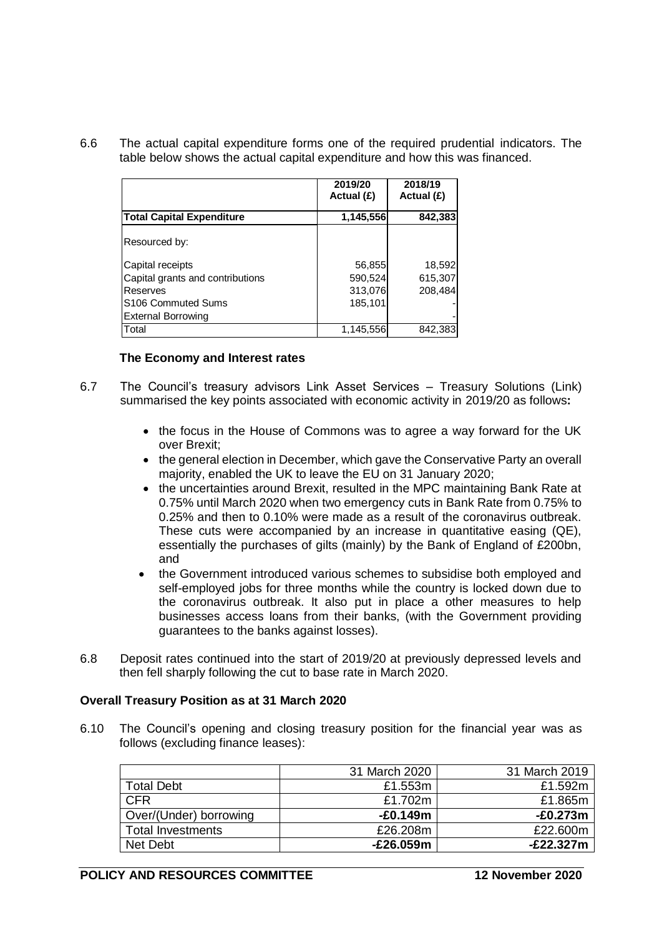6.6 The actual capital expenditure forms one of the required prudential indicators. The table below shows the actual capital expenditure and how this was financed.

|                                  | 2019/20<br>Actual (£) | 2018/19<br>Actual (£) |
|----------------------------------|-----------------------|-----------------------|
| <b>Total Capital Expenditure</b> | 1,145,556             | 842,383               |
| Resourced by:                    |                       |                       |
| Capital receipts                 | 56,855                | 18,592                |
| Capital grants and contributions | 590,524               | 615,307               |
| Reserves                         | 313,076               | 208,484               |
| S <sub>106</sub> Commuted Sums   | 185,101               |                       |
| <b>External Borrowing</b>        |                       |                       |
| Total                            | 1,145,556             | 842,383               |

#### **The Economy and Interest rates**

- 6.7 The Council's treasury advisors Link Asset Services Treasury Solutions (Link) summarised the key points associated with economic activity in 2019/20 as follows**:**
	- the focus in the House of Commons was to agree a way forward for the UK over Brexit;
	- the general election in December, which gave the Conservative Party an overall majority, enabled the UK to leave the EU on 31 January 2020;
	- the uncertainties around Brexit, resulted in the MPC maintaining Bank Rate at 0.75% until March 2020 when two emergency cuts in Bank Rate from 0.75% to 0.25% and then to 0.10% were made as a result of the coronavirus outbreak. These cuts were accompanied by an increase in quantitative easing (QE), essentially the purchases of gilts (mainly) by the Bank of England of £200bn, and
	- the Government introduced various schemes to subsidise both employed and self-employed jobs for three months while the country is locked down due to the coronavirus outbreak. It also put in place a other measures to help businesses access loans from their banks, (with the Government providing guarantees to the banks against losses).
- 6.8 Deposit rates continued into the start of 2019/20 at previously depressed levels and then fell sharply following the cut to base rate in March 2020.

#### **Overall Treasury Position as at 31 March 2020**

6.10 The Council's opening and closing treasury position for the financial year was as follows (excluding finance leases):

|                          | 31 March 2020 | 31 March 2019 |
|--------------------------|---------------|---------------|
| <b>Total Debt</b>        | £1.553m       | £1.592m       |
| <b>CFR</b>               | £1.702m       | £1.865m       |
| Over/(Under) borrowing   | $-£0.149m$    | $-E0.273m$    |
| <b>Total Investments</b> | £26,208m      | £22.600m      |
| Net Debt                 | $-E26.059m$   | $-E22.327m$   |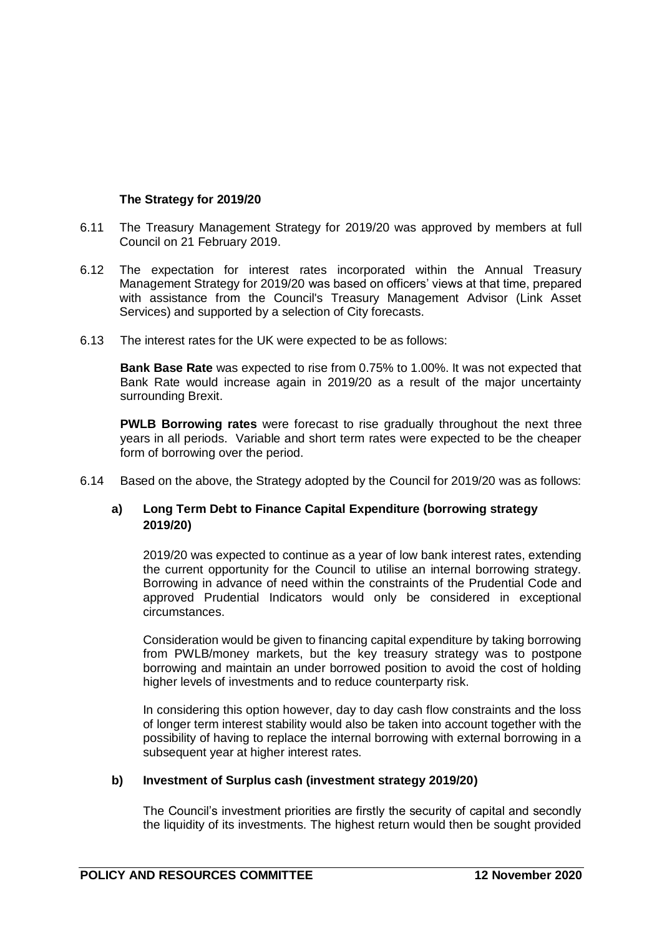# **The Strategy for 2019/20**

- 6.11 The Treasury Management Strategy for 2019/20 was approved by members at full Council on 21 February 2019.
- 6.12 The expectation for interest rates incorporated within the Annual Treasury Management Strategy for 2019/20 was based on officers' views at that time, prepared with assistance from the Council's Treasury Management Advisor (Link Asset Services) and supported by a selection of City forecasts.
- 6.13 The interest rates for the UK were expected to be as follows:

**Bank Base Rate** was expected to rise from 0.75% to 1.00%. It was not expected that Bank Rate would increase again in 2019/20 as a result of the major uncertainty surrounding Brexit.

**PWLB Borrowing rates** were forecast to rise gradually throughout the next three years in all periods. Variable and short term rates were expected to be the cheaper form of borrowing over the period.

6.14 Based on the above, the Strategy adopted by the Council for 2019/20 was as follows:

# **a) Long Term Debt to Finance Capital Expenditure (borrowing strategy 2019/20)**

2019/20 was expected to continue as a year of low bank interest rates, extending the current opportunity for the Council to utilise an internal borrowing strategy. Borrowing in advance of need within the constraints of the Prudential Code and approved Prudential Indicators would only be considered in exceptional circumstances.

Consideration would be given to financing capital expenditure by taking borrowing from PWLB/money markets, but the key treasury strategy was to postpone borrowing and maintain an under borrowed position to avoid the cost of holding higher levels of investments and to reduce counterparty risk.

In considering this option however, day to day cash flow constraints and the loss of longer term interest stability would also be taken into account together with the possibility of having to replace the internal borrowing with external borrowing in a subsequent year at higher interest rates.

## **b) Investment of Surplus cash (investment strategy 2019/20)**

The Council's investment priorities are firstly the security of capital and secondly the liquidity of its investments. The highest return would then be sought provided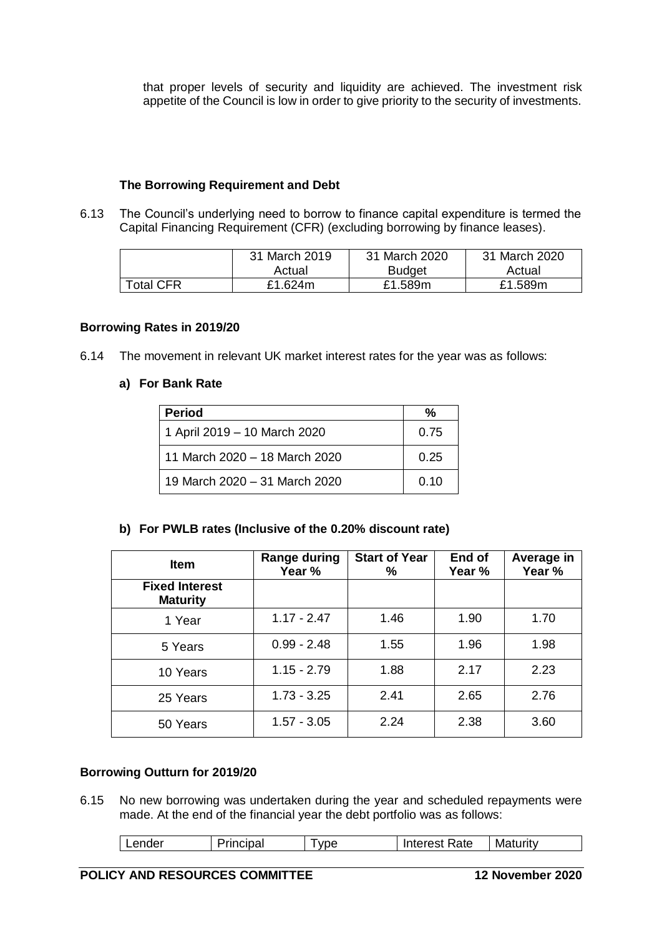that proper levels of security and liquidity are achieved. The investment risk appetite of the Council is low in order to give priority to the security of investments.

## **The Borrowing Requirement and Debt**

6.13 The Council's underlying need to borrow to finance capital expenditure is termed the Capital Financing Requirement (CFR) (excluding borrowing by finance leases).

|                  | 31 March 2019 | 31 March 2020 | 31 March 2020 |
|------------------|---------------|---------------|---------------|
|                  | Actual        | <b>Budget</b> | Actual        |
| <b>Total CFR</b> | £1.624m       | £1.589m       | £1.589m       |

## **Borrowing Rates in 2019/20**

6.14 The movement in relevant UK market interest rates for the year was as follows:

# **a) For Bank Rate**

| <b>Period</b>                 | %    |
|-------------------------------|------|
| 1 April 2019 - 10 March 2020  | 0.75 |
| 11 March 2020 - 18 March 2020 | 0.25 |
| 19 March 2020 – 31 March 2020 | 0.10 |

## **b) For PWLB rates (Inclusive of the 0.20% discount rate)**

| <b>Item</b>                              | Range during<br>Year % | <b>Start of Year</b><br>℅ | End of<br>Year % | Average in<br>Year % |
|------------------------------------------|------------------------|---------------------------|------------------|----------------------|
| <b>Fixed Interest</b><br><b>Maturity</b> |                        |                           |                  |                      |
| 1 Year                                   | $1.17 - 2.47$          | 1.46                      | 1.90             | 1.70                 |
| 5 Years                                  | $0.99 - 2.48$          | 1.55                      | 1.96             | 1.98                 |
| 10 Years                                 | $1.15 - 2.79$          | 1.88                      | 2.17             | 2.23                 |
| 25 Years                                 | $1.73 - 3.25$          | 2.41                      | 2.65             | 2.76                 |
| 50 Years                                 | $1.57 - 3.05$          | 2.24                      | 2.38             | 3.60                 |

## **Borrowing Outturn for 2019/20**

6.15 No new borrowing was undertaken during the year and scheduled repayments were made. At the end of the financial year the debt portfolio was as follows:

| Lender | Principal | <b>VDC</b> | Interest Rate | Maturity |
|--------|-----------|------------|---------------|----------|
|        |           |            |               |          |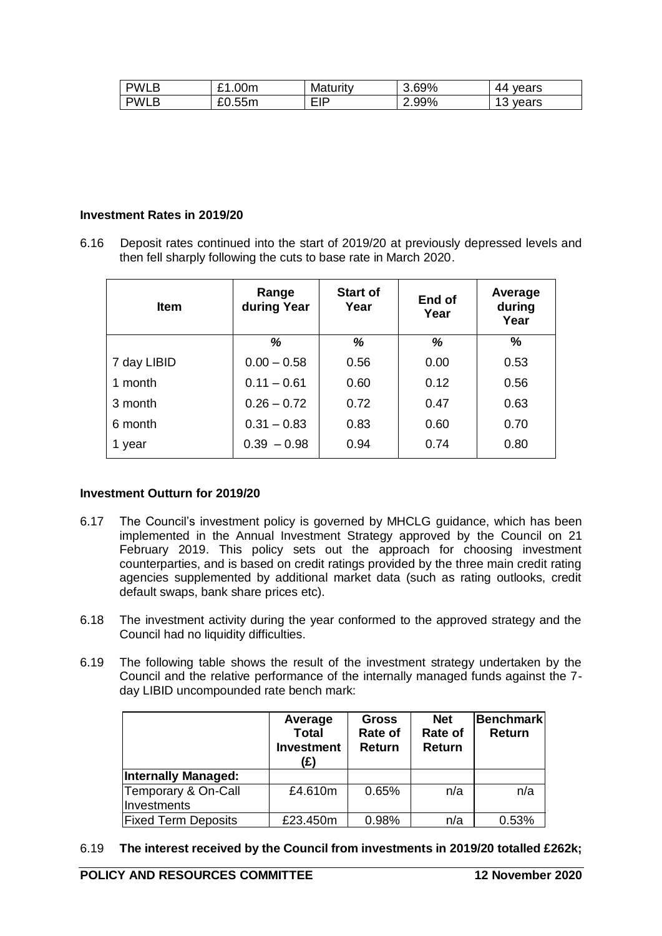| <b>PWLB</b> | £1.00m | Maturity | 3.69% | 44 vears     |
|-------------|--------|----------|-------|--------------|
| <b>PWLB</b> | £0.55m | EIP      | 2.99% | vears<br>ט ו |

## **Investment Rates in 2019/20**

6.16 Deposit rates continued into the start of 2019/20 at previously depressed levels and then fell sharply following the cuts to base rate in March 2020.

| <b>Item</b> | Range<br>during Year | <b>Start of</b><br>Year | End of<br>Year | Average<br>during<br>Year |
|-------------|----------------------|-------------------------|----------------|---------------------------|
|             | %                    | %                       | ℅              | $\%$                      |
| 7 day LIBID | $0.00 - 0.58$        | 0.56                    | 0.00           | 0.53                      |
| 1 month     | $0.11 - 0.61$        | 0.60                    | 0.12           | 0.56                      |
| 3 month     | $0.26 - 0.72$        | 0.72                    | 0.47           | 0.63                      |
| 6 month     | $0.31 - 0.83$        | 0.83                    | 0.60           | 0.70                      |
| 1 year      | $0.39 - 0.98$        | 0.94                    | 0.74           | 0.80                      |

## **Investment Outturn for 2019/20**

- 6.17 The Council's investment policy is governed by MHCLG guidance, which has been implemented in the Annual Investment Strategy approved by the Council on 21 February 2019. This policy sets out the approach for choosing investment counterparties, and is based on credit ratings provided by the three main credit rating agencies supplemented by additional market data (such as rating outlooks, credit default swaps, bank share prices etc).
- 6.18 The investment activity during the year conformed to the approved strategy and the Council had no liquidity difficulties.
- 6.19 The following table shows the result of the investment strategy undertaken by the Council and the relative performance of the internally managed funds against the 7 day LIBID uncompounded rate bench mark:

|                                    | Average<br><b>Total</b><br><b>Investment</b><br>(£) | <b>Gross</b><br>Rate of<br>Return | <b>Net</b><br>Rate of<br>Return | <b>Benchmark</b><br><b>Return</b> |
|------------------------------------|-----------------------------------------------------|-----------------------------------|---------------------------------|-----------------------------------|
| <b>Internally Managed:</b>         |                                                     |                                   |                                 |                                   |
| Temporary & On-Call<br>Investments | £4.610m                                             | 0.65%                             | n/a                             | n/a                               |
| <b>Fixed Term Deposits</b>         | £23.450m                                            | 0.98%                             | n/a                             | 0.53%                             |

6.19 **The interest received by the Council from investments in 2019/20 totalled £262k;**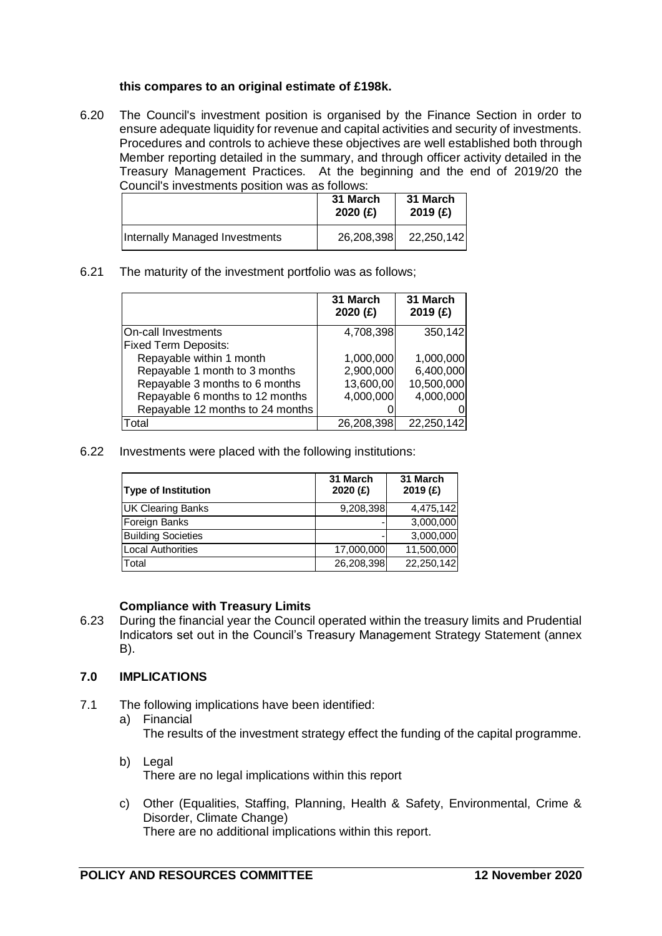#### **this compares to an original estimate of £198k.**

6.20 The Council's investment position is organised by the Finance Section in order to ensure adequate liquidity for revenue and capital activities and security of investments. Procedures and controls to achieve these objectives are well established both through Member reporting detailed in the summary, and through officer activity detailed in the Treasury Management Practices. At the beginning and the end of 2019/20 the Council's investments position was as follows:

| .טערטווטו טגט טגטרוויסטע טארוטוויטטע וויטוויסטע |                     |                     |
|-------------------------------------------------|---------------------|---------------------|
|                                                 | 31 March<br>2020(f) | 31 March<br>2019(f) |
| Internally Managed Investments                  | 26,208,398          | 22,250,142          |

6.21 The maturity of the investment portfolio was as follows;

|                                  | 31 March<br>2020 $(f)$ | 31 March<br>2019 (£) |
|----------------------------------|------------------------|----------------------|
| On-call Investments              | 4,708,398              | 350,142              |
| <b>Fixed Term Deposits:</b>      |                        |                      |
| Repayable within 1 month         | 1,000,000              | 1,000,000            |
| Repayable 1 month to 3 months    | 2,900,000              | 6,400,000            |
| Repayable 3 months to 6 months   | 13,600,00              | 10,500,000           |
| Repayable 6 months to 12 months  | 4,000,000              | 4,000,000            |
| Repayable 12 months to 24 months |                        |                      |
| Total                            | 26,208,398             | 22,250,142           |

6.22 Investments were placed with the following institutions:

| <b>Type of Institution</b> | 31 March<br>2020(f) | 31 March<br>2019(f) |
|----------------------------|---------------------|---------------------|
| <b>UK Clearing Banks</b>   | 9,208,398           | 4,475,142           |
| Foreign Banks              |                     | 3,000,000           |
| <b>Building Societies</b>  |                     | 3,000,000           |
| <b>Local Authorities</b>   | 17,000,000          | 11,500,000          |
| Total                      | 26,208,398          | 22,250,142          |

## **Compliance with Treasury Limits**

6.23 During the financial year the Council operated within the treasury limits and Prudential Indicators set out in the Council's Treasury Management Strategy Statement (annex B).

# **7.0 IMPLICATIONS**

- 7.1 The following implications have been identified:
	- a) Financial The results of the investment strategy effect the funding of the capital programme.
	- b) Legal There are no legal implications within this report
	- c) Other (Equalities, Staffing, Planning, Health & Safety, Environmental, Crime & Disorder, Climate Change) There are no additional implications within this report.